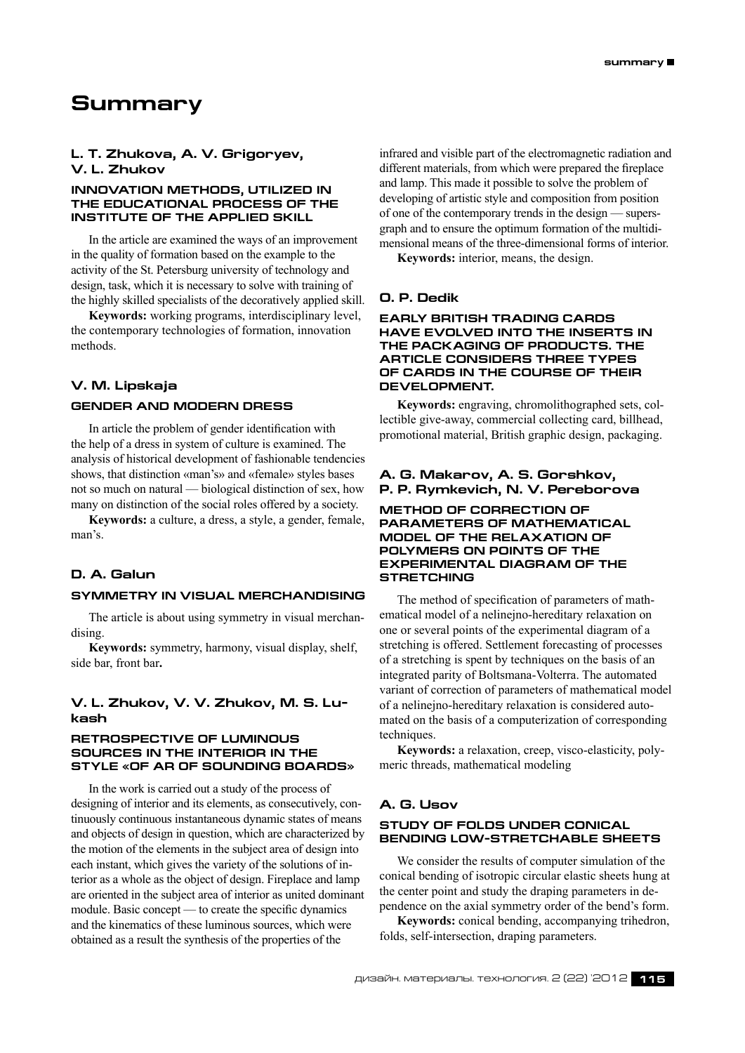# **Summary**

# **L. T. Zhukova, A. V. Grigoryev, V. L. Zhukov**

## **INNOVATION METHODS, UTILIZED IN THE EDUCATIONAL PROCESS OF THE INSTITUTE OF THE APPLIED SKILL**

In the article are examined the ways of an improvement in the quality of formation based on the example to the activity of the St. Petersburg university of technology and design, task, which it is necessary to solve with training of the highly skilled specialists of the decoratively applied skill.

**Keywords:** working programs, interdisciplinary level, the contemporary technologies of formation, innovation methods.

## **V. M. Lipskaja**

#### **Gender and modern dress**

In article the problem of gender identification with the help of a dress in system of culture is examined. The analysis of historical development of fashionable tendencies shows, that distinction «man's» and «female» styles bases not so much on natural — biological distinction of sex, how many on distinction of the social roles offered by a society.

**Keywords:** a culture, a dress, a style, a gender, female, man's.

## **D. A. Galun**

## **Symmetry in visual merchandising**

The article is about using symmetry in visual merchandising.

**Keywords:** symmetry, harmony, visual display, shelf, side bar, front bar**.**

# **V. L. Zhukov, V. V. Zhukov, M. S. Lukash**

#### **RETROSPECTIVE OF LUMINOUS SOURCES IN THE INTERIOR IN THE STYLE «OF AR OF SOUNDING BOARDS»**

In the work is carried out a study of the process of designing of interior and its elements, as consecutively, continuously continuous instantaneous dynamic states of means and objects of design in question, which are characterized by the motion of the elements in the subject area of design into each instant, which gives the variety of the solutions of interior as a whole as the object of design. Fireplace and lamp are oriented in the subject area of interior as united dominant module. Basic concept — to create the specific dynamics and the kinematics of these luminous sources, which were obtained as a result the synthesis of the properties of the

infrared and visible part of the electromagnetic radiation and different materials, from which were prepared the fireplace and lamp. This made it possible to solve the problem of developing of artistic style and composition from position of one of the contemporary trends in the design — supersgraph and to ensure the optimum formation of the multidimensional means of the three-dimensional forms of interior.

**Keywords:** interior, means, the design.

## **O. P. Dedik**

#### **Early British trading cards have evolved into the inserts in the packaging of products. The article considers three types of cards in the course of their development.**

**Keywords:** engraving, chromolithographed sets, collectible give-away, commercial collecting card, billhead, promotional material, British graphic design, packaging.

# **A. G. Makarov, A. S. Gorshkov, P. P. Rymkevich, N. V. Pereborova**

## **METHOD OF CORRECTION OF PARAMETERS OF MATHEMATICAL MODEL OF THE RELAXATION OF POLYMERS ON POINTS OF THE EXPERIMENTAL DIAGRAM OF THE STRETCHING**

The method of specification of parameters of mathematical model of a nelinejno-hereditary relaxation on one or several points of the experimental diagram of a stretching is offered. Settlement forecasting of processes of a stretching is spent by techniques on the basis of an integrated parity of Boltsmana-Volterra. The automated variant of correction of parameters of mathematical model of a nelinejno-hereditary relaxation is considered automated on the basis of a computerization of corresponding techniques.

**Keywords:** a relaxation, creep, visco-elasticity, polymeric threads, mathematical modeling

## **A. G. Usov**

## **STUDY OF FOLDS UNDER CONICAL BENDING LOW-STRETCHABLE SHEETS**

We consider the results of computer simulation of the conical bending of isotropic circular elastic sheets hung at the center point and study the draping parameters in dependence on the axial symmetry order of the bend's form.

**Keywords:** conical bending, accompanying trihedron, folds, self-intersection, draping parameters.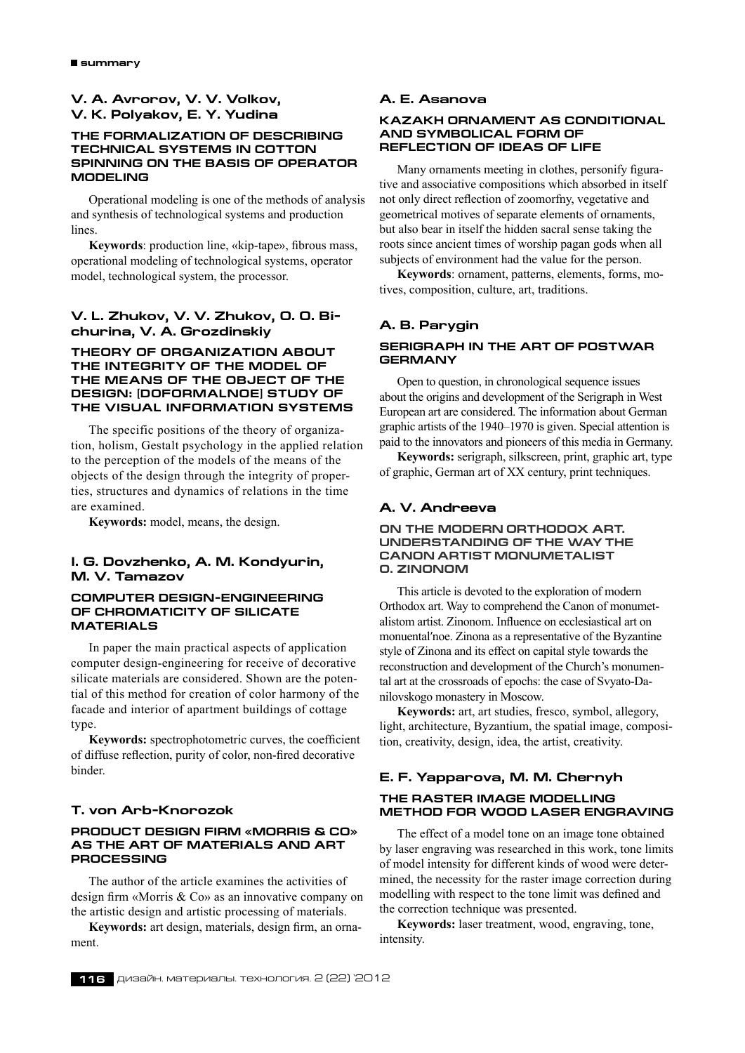# **V. A. Avrorov, V. V. Volkov, V. K. Polyakov, E. Y. Yudina**

## **THE FORMALIZATION OF DESCRIBING TECHNICAL SYSTEMS IN COTTON SPINNING ON THE BASIS OF OPERATOR MODELING**

Operational modeling is one of the methods of analysis and synthesis of technological systems and production **lines** 

**Keywords**: production line, «kip-tape», fibrous mass, operational modeling of technological systems, operator model, technological system, the processor.

# **V. L. Zhukov, V. V. Zhukov, O. O. Bichurina, V. A. Grozdinskiy**

## **THEORY OF ORGANIZATION ABOUT THE INTEGRITY OF THE MODEL OF THE MEANS OF THE OBJECT OF THE DESIGN: [DOFORMALNOE] STUDY OF THE VISUAL INFORMATION SYSTEMS**

The specific positions of the theory of organization, holism, Gestalt psychology in the applied relation to the perception of the models of the means of the objects of the design through the integrity of properties, structures and dynamics of relations in the time are examined.

**Keywords:** model, means, the design.

# **I. G. Dovzhenko, A. M. Kondyurin, M. V. Tamazov**

## **COMPUTER DESIGN-ENGINEERING OF CHROMATICITY OF SILICATE MATERIALS**

In paper the main practical aspects of application computer design-engineering for receive of decorative silicate materials are considered. Shown are the potential of this method for creation of color harmony of the facade and interior of apartment buildings of cottage type.

**Keywords:** spectrophotometric curves, the coefficient of diffuse reflection, purity of color, non-fired decorative binder.

# **T. von Arb-Knorozok**

## **Product design firm «Morris & Co» as the art of materials and art processing**

The author of the article examines the activities of design firm «Morris & Co» as an innovative company on the artistic design and artistic processing of materials.

**Keywords:** art design, materials, design firm, an ornament.

## **A. E. Asanova**

#### **KAZAKH ORNAMENT AS CONDITIONAL AND SYMBOLICAL FORM OF REFLECTION OF IDEAS OF LIFE**

Many ornaments meeting in clothes, personify figurative and associative compositions which absorbed in itself not only direct reflection of zoomorfny, vegetative and geometrical motives of separate elements of ornaments, but also bear in itself the hidden sacral sense taking the roots since ancient times of worship pagan gods when all subjects of environment had the value for the person.

**Keywords**: ornament, patterns, elements, forms, motives, composition, culture, art, traditions.

# **A. B. Parygin**

## **Serigraph in the Art of Postwar Germany**

Open to question, in chronological sequence issues about the origins and development of the Serigraph in West European art are considered. The information about German graphic artists of the 1940–1970 is given. Special attention is paid to the innovators and pioneers of this media in Germany.

**Keywords:** serigraph, silkscreen, print, graphic art, type of graphic, German art of XX century, print techniques.

#### **A. V. Andreeva**

## **On the modern Orthodox art. Understanding of the way the canon artist monumetalist o. Zinonom**

This article is devoted to the exploration of modern Orthodox art. Way to comprehend the Canon of monumetalistom artist. Zinonom. Influence on ecclesiastical art on monuental′noe. Zinona as a representative of the Byzantine style of Zinona and its effect on capital style towards the reconstruction and development of the Church's monumental art at the crossroads of epochs: the case of Svyato-Danilovskogo monastery in Moscow.

**Keywords:** art, art studies, fresco, symbol, allegory, light, architecture, Byzantium, the spatial image, composition, creativity, design, idea, the artist, creativity.

# **E. F. Yapparova, M. M. Chernyh The raster image modelling method for wood laser engraving**

The effect of a model tone on an image tone obtained by laser engraving was researched in this work, tone limits of model intensity for different kinds of wood were determined, the necessity for the raster image correction during modelling with respect to the tone limit was defined and the correction technique was presented.

**Keywords:** laser treatment, wood, engraving, tone, intensity.